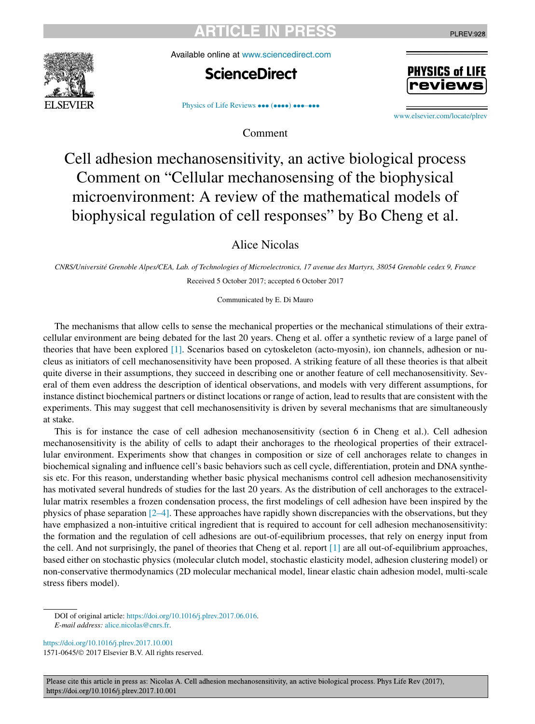Available online at [www.sciencedirect.com](http://www.sciencedirect.com)





PLREV:928

[Physics of Life Reviews](https://doi.org/10.1016/j.plrev.2017.10.001) ••• (••••) •••-•••

Comment

[www.elsevier.com/locate/plrev](http://www.elsevier.com/locate/plrev)

# Cell adhesion mechanosensitivity, an active biological process Comment on "Cellular mechanosensing of the biophysical microenvironment: A review of the mathematical models of biophysical regulation of cell responses" by Bo Cheng et al.

Alice Nicolas

CNRS/Université Grenoble Alpes/CEA, Lab. of Technologies of Microelectronics, 17 avenue des Martyrs, 38054 Grenoble cedex 9, France Received 5 October 2017; accepted 6 October 2017

Communicated by E. Di Mauro

The mechanisms that allow cells to sense the mechanical properties or the mechanical stimulations of their extracellular environment are being debated for the last 20 years. Cheng et al. offer a synthetic review of a large panel of theories that have been explored [\[1\].](#page-2-0) Scenarios based on cytoskeleton (acto-myosin), ion channels, adhesion or nucleus as initiators of cell mechanosensitivity have been proposed. A striking feature of all these theories is that albeit quite diverse in their assumptions, they succeed in describing one or another feature of cell mechanosensitivity. Several of them even address the description of identical observations, and models with very different assumptions, for instance distinct biochemical partners or distinct locations or range of action, lead to results that are consistent with the experiments. This may suggest that cell mechanosensitivity is driven by several mechanisms that are simultaneously at stake.

This is for instance the case of cell adhesion mechanosensitivity (section 6 in Cheng et al.). Cell adhesion mechanosensitivity is the ability of cells to adapt their anchorages to the rheological properties of their extracellular environment. Experiments show that changes in composition or size of cell anchorages relate to changes in biochemical signaling and influence cell's basic behaviors such as cell cycle, differentiation, protein and DNA synthesis etc. For this reason, understanding whether basic physical mechanisms control cell adhesion mechanosensitivity has motivated several hundreds of studies for the last 20 years. As the distribution of cell anchorages to the extracellular matrix resembles a frozen condensation process, the first modelings of cell adhesion have been inspired by the physics of phase separation  $[2-4]$ . These approaches have rapidly shown discrepancies with the observations, but they have emphasized a non-intuitive critical ingredient that is required to account for cell adhesion mechanosensitivity: the formation and the regulation of cell adhesions are out-of-equilibrium processes, that rely on energy input from the cell. And not surprisingly, the panel of theories that Cheng et al. report [\[1\]](#page-2-0) are all out-of-equilibrium approaches, based either on stochastic physics (molecular clutch model, stochastic elasticity model, adhesion clustering model) or non-conservative thermodynamics (2D molecular mechanical model, linear elastic chain adhesion model, multi-scale stress fibers model).

DOI of original article: <https://doi.org/10.1016/j.plrev.2017.06.016>. *E-mail address:* [alice.nicolas@cnrs.fr](mailto:alice.nicolas@cnrs.fr).

<https://doi.org/10.1016/j.plrev.2017.10.001> 1571-0645/© 2017 Elsevier B.V. All rights reserved.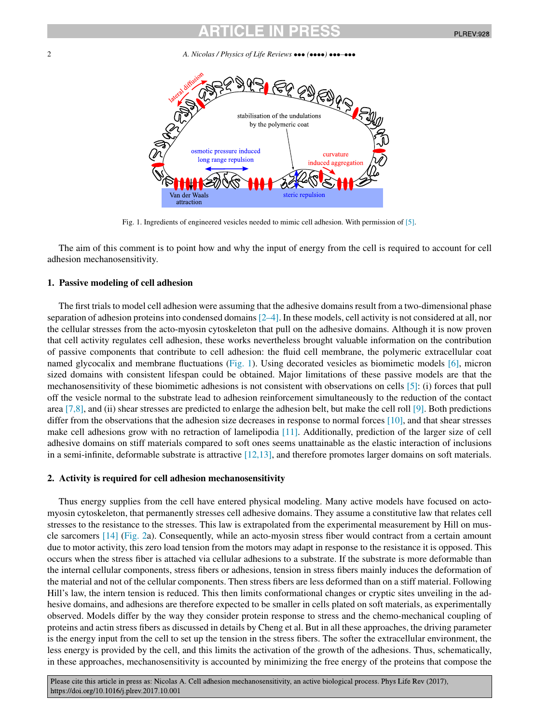2 *A. Nicolas / Physics of Life Reviews* ••• *(*••••*)* •••*–*•••



Fig. 1. Ingredients of engineered vesicles needed to mimic cell adhesion. With permission of [\[5\].](#page-3-0)

The aim of this comment is to point how and why the input of energy from the cell is required to account for cell adhesion mechanosensitivity.

### **1. Passive modeling of cell adhesion**

The first trials to model cell adhesion were assuming that the adhesive domains result from a two-dimensional phase separation of adhesion proteins into condensed domains  $[2-4]$ . In these models, cell activity is not considered at all, nor the cellular stresses from the acto-myosin cytoskeleton that pull on the adhesive domains. Although it is now proven that cell activity regulates cell adhesion, these works nevertheless brought valuable information on the contribution of passive components that contribute to cell adhesion: the fluid cell membrane, the polymeric extracellular coat named glycocalix and membrane fluctuations (Fig. 1). Using decorated vesicles as biomimetic models [\[6\],](#page-3-0) micron sized domains with consistent lifespan could be obtained. Major limitations of these passive models are that the mechanosensitivity of these biomimetic adhesions is not consistent with observations on cells [\[5\]:](#page-3-0) (i) forces that pull off the vesicle normal to the substrate lead to adhesion reinforcement simultaneously to the reduction of the contact area [\[7,8\],](#page-3-0) and (ii) shear stresses are predicted to enlarge the adhesion belt, but make the cell roll [\[9\].](#page-3-0) Both predictions differ from the observations that the adhesion size decreases in response to normal forces [\[10\],](#page-3-0) and that shear stresses make cell adhesions grow with no retraction of lamelipodia [\[11\].](#page-3-0) Additionally, prediction of the larger size of cell adhesive domains on stiff materials compared to soft ones seems unattainable as the elastic interaction of inclusions in a semi-infinite, deformable substrate is attractive [\[12,13\],](#page-3-0) and therefore promotes larger domains on soft materials.

#### **2. Activity is required for cell adhesion mechanosensitivity**

Thus energy supplies from the cell have entered physical modeling. Many active models have focused on actomyosin cytoskeleton, that permanently stresses cell adhesive domains. They assume a constitutive law that relates cell stresses to the resistance to the stresses. This law is extrapolated from the experimental measurement by Hill on muscle sarcomers [\[14\]](#page-3-0) [\(Fig.](#page-2-0) 2a). Consequently, while an acto-myosin stress fiber would contract from a certain amount due to motor activity, this zero load tension from the motors may adapt in response to the resistance it is opposed. This occurs when the stress fiber is attached via cellular adhesions to a substrate. If the substrate is more deformable than the internal cellular components, stress fibers or adhesions, tension in stress fibers mainly induces the deformation of the material and not of the cellular components. Then stress fibers are less deformed than on a stiff material. Following Hill's law, the intern tension is reduced. This then limits conformational changes or cryptic sites unveiling in the adhesive domains, and adhesions are therefore expected to be smaller in cells plated on soft materials, as experimentally observed. Models differ by the way they consider protein response to stress and the chemo-mechanical coupling of proteins and actin stress fibers as discussed in details by Cheng et al. But in all these approaches, the driving parameter is the energy input from the cell to set up the tension in the stress fibers. The softer the extracellular environment, the less energy is provided by the cell, and this limits the activation of the growth of the adhesions. Thus, schematically, in these approaches, mechanosensitivity is accounted by minimizing the free energy of the proteins that compose the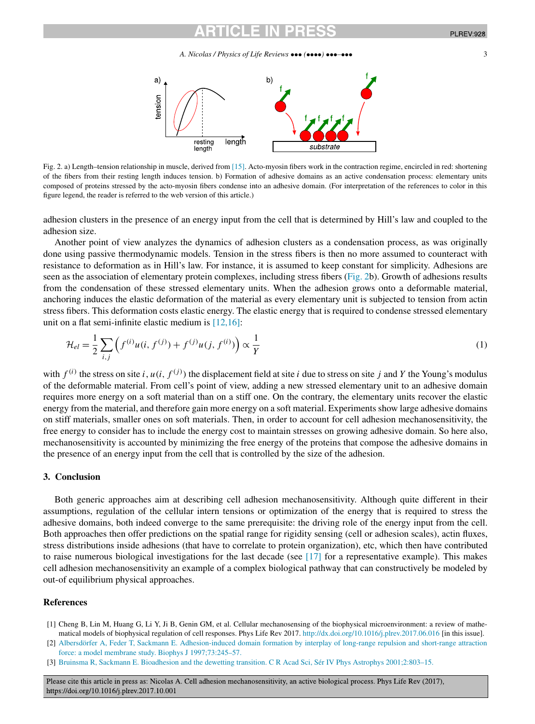<span id="page-2-0"></span>

Fig. 2. a) Length–tension relationship in muscle, derived from [\[15\].](#page-3-0) Acto-myosin fibers work in the contraction regime, encircled in red: shortening of the fibers from their resting length induces tension. b) Formation of adhesive domains as an active condensation process: elementary units composed of proteins stressed by the acto-myosin fibers condense into an adhesive domain. (For interpretation of the references to color in this figure legend, the reader is referred to the web version of this article.)

adhesion clusters in the presence of an energy input from the cell that is determined by Hill's law and coupled to the adhesion size.

Another point of view analyzes the dynamics of adhesion clusters as a condensation process, as was originally done using passive thermodynamic models. Tension in the stress fibers is then no more assumed to counteract with resistance to deformation as in Hill's law. For instance, it is assumed to keep constant for simplicity. Adhesions are seen as the association of elementary protein complexes, including stress fibers (Fig. 2b). Growth of adhesions results from the condensation of these stressed elementary units. When the adhesion grows onto a deformable material, anchoring induces the elastic deformation of the material as every elementary unit is subjected to tension from actin stress fibers. This deformation costs elastic energy. The elastic energy that is required to condense stressed elementary unit on a flat semi-infinite elastic medium is [\[12,16\]:](#page-3-0)

$$
\mathcal{H}_{el} = \frac{1}{2} \sum_{i,j} \left( f^{(i)} u(i, f^{(j)}) + f^{(j)} u(j, f^{(i)}) \right) \propto \frac{1}{Y}
$$
\n(1)

with  $f^{(i)}$  the stress on site *i*,  $u(i, f^{(j)})$  the displacement field at site *i* due to stress on site *j* and *Y* the Young's modulus of the deformable material. From cell's point of view, adding a new stressed elementary unit to an adhesive domain requires more energy on a soft material than on a stiff one. On the contrary, the elementary units recover the elastic energy from the material, and therefore gain more energy on a soft material. Experiments show large adhesive domains on stiff materials, smaller ones on soft materials. Then, in order to account for cell adhesion mechanosensitivity, the free energy to consider has to include the energy cost to maintain stresses on growing adhesive domain. So here also, mechanosensitivity is accounted by minimizing the free energy of the proteins that compose the adhesive domains in the presence of an energy input from the cell that is controlled by the size of the adhesion.

#### **3. Conclusion**

Both generic approaches aim at describing cell adhesion mechanosensitivity. Although quite different in their assumptions, regulation of the cellular intern tensions or optimization of the energy that is required to stress the adhesive domains, both indeed converge to the same prerequisite: the driving role of the energy input from the cell. Both approaches then offer predictions on the spatial range for rigidity sensing (cell or adhesion scales), actin fluxes, stress distributions inside adhesions (that have to correlate to protein organization), etc, which then have contributed to raise numerous biological investigations for the last decade (see  $[17]$  for a representative example). This makes cell adhesion mechanosensitivity an example of a complex biological pathway that can constructively be modeled by out-of equilibrium physical approaches.

#### **References**

- [1] Cheng B, Lin M, Huang G, Li Y, Ji B, Genin GM, et al. Cellular mechanosensing of the biophysical microenvironment: a review of mathematical models of biophysical regulation of cell responses. Phys Life Rev 2017. <http://dx.doi.org/10.1016/j.plrev.2017.06.016> [in this issue].
- [2] Albersdörfer A, Feder T, Sackmann E. [Adhesion-induced](http://refhub.elsevier.com/S1571-0645(17)30144-6/bib616C62657273646F726665723937s1) domain formation by interplay of long-range repulsion and short-range attraction force: a model membrane study. Biophys J [1997;73:245–57.](http://refhub.elsevier.com/S1571-0645(17)30144-6/bib616C62657273646F726665723937s1)
- [3] Bruinsma R, Sackmann E. Bioadhesion and the dewetting transition. C R Acad Sci, Sér IV Phys Astrophys [2001;2:803–15.](http://refhub.elsevier.com/S1571-0645(17)30144-6/bib627275696E736D613031s1)

Please cite this article in press as: Nicolas A. Cell adhesion mechanosensitivity, an active biological process. Phys Life Rev (2017), https://doi.org/10.1016/j.plrev.2017.10.001